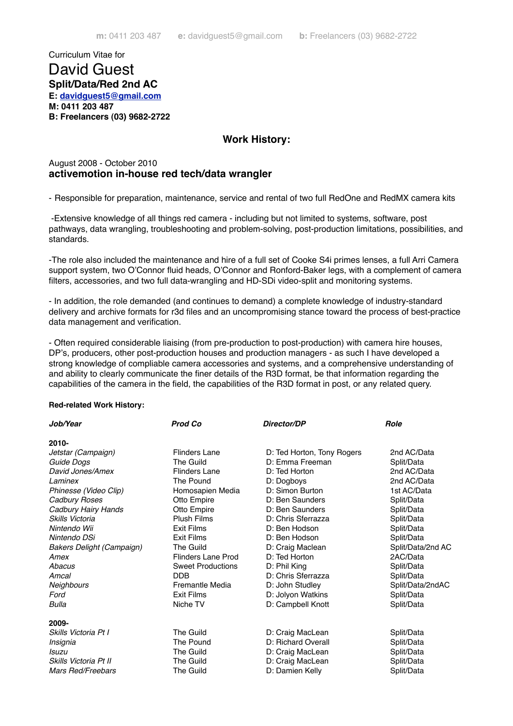Curriculum Vitae for

# David Guest **Split/Data/Red 2nd AC**

**E: [davidguest5@gmail.com](mailto:davidguest5@gmail.com)**

**M: 0411 203 487**

**B: Freelancers (03) 9682-2722**

## **Work History:**

### August 2008 - October 2010 **activemotion in-house red tech/data wrangler**

- Responsible for preparation, maintenance, service and rental of two full RedOne and RedMX camera kits

 -Extensive knowledge of all things red camera - including but not limited to systems, software, post pathways, data wrangling, troubleshooting and problem-solving, post-production limitations, possibilities, and standards.

-The role also included the maintenance and hire of a full set of Cooke S4i primes lenses, a full Arri Camera support system, two O'Connor fluid heads, O'Connor and Ronford-Baker legs, with a complement of camera filters, accessories, and two full data-wrangling and HD-SDi video-split and monitoring systems.

- In addition, the role demanded (and continues to demand) a complete knowledge of industry-standard delivery and archive formats for r3d files and an uncompromising stance toward the process of best-practice data management and verification.

- Often required considerable liaising (from pre-production to post-production) with camera hire houses, DP's, producers, other post-production houses and production managers - as such I have developed a strong knowledge of compliable camera accessories and systems, and a comprehensive understanding of and ability to clearly communicate the finer details of the R3D format, be that information regarding the capabilities of the camera in the field, the capabilities of the R3D format in post, or any related query.

#### **Red-related Work History:**

| Job/Year                         | <b>Prod Co</b>            | Director/DP                | <b>Role</b>       |
|----------------------------------|---------------------------|----------------------------|-------------------|
| $2010 -$                         |                           |                            |                   |
| Jetstar (Campaign)               | Flinders Lane             | D: Ted Horton, Tony Rogers | 2nd AC/Data       |
| Guide Dogs                       | The Guild                 | D: Emma Freeman            | Split/Data        |
| David Jones/Amex                 | <b>Flinders Lane</b>      | D: Ted Horton              | 2nd AC/Data       |
| <i>I</i> aminex                  | The Pound                 | D: Dogboys                 | 2nd AC/Data       |
| Phinesse (Video Clip)            | Homosapien Media          | D: Simon Burton            | 1st AC/Data       |
| Cadbury Roses                    | Otto Empire               | D: Ben Saunders            | Split/Data        |
| Cadbury Hairy Hands              | Otto Empire               | D: Ben Saunders            | Split/Data        |
| Skills Victoria                  | <b>Plush Films</b>        | D: Chris Sferrazza         | Split/Data        |
| Nintendo Wii                     | <b>Exit Films</b>         | D: Ben Hodson              | Split/Data        |
| Nintendo DSi                     | <b>Exit Films</b>         | D: Ben Hodson              | Split/Data        |
| <b>Bakers Delight (Campaign)</b> | <b>The Guild</b>          | D: Craig Maclean           | Split/Data/2nd AC |
| Amex                             | <b>Flinders Lane Prod</b> | D: Ted Horton              | 2AC/Data          |
| Abacus                           | <b>Sweet Productions</b>  | D: Phil King               | Split/Data        |
| Amcal                            | <b>DDB</b>                | D: Chris Sferrazza         | Split/Data        |
| Neighbours                       | Fremantle Media           | D: John Studley            | Split/Data/2ndAC  |
| Ford                             | <b>Exit Films</b>         | D: Jolyon Watkins          | Split/Data        |
| Bulla                            | Niche TV                  | D: Campbell Knott          | Split/Data        |
| 2009-                            |                           |                            |                   |
| Skills Victoria Pt I             | The Guild                 | D: Craig MacLean           | Split/Data        |
| Insignia                         | The Pound                 | D: Richard Overall         | Split/Data        |
| Isuzu                            | The Guild                 | D: Craig MacLean           | Split/Data        |
| Skills Victoria Pt II            | The Guild                 | D: Craig MacLean           | Split/Data        |
| Mars Red/Freebars                | The Guild                 | D: Damien Kelly            | Split/Data        |